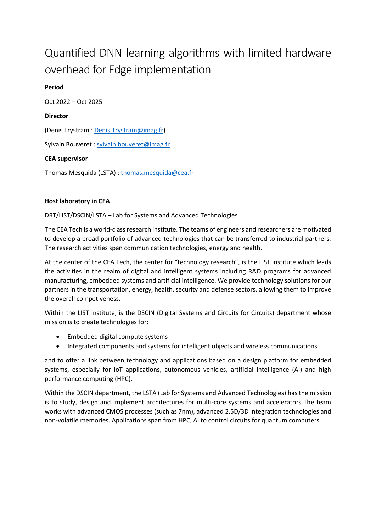# Quantified DNN learning algorithms with limited hardware overhead for Edge implementation

**Period** Oct 2022 – Oct 2025 **Director** (Denis Trystram [: Denis.Trystram@imag.fr\)](mailto:Denis.Trystram@imag.fr) Sylvain Bouveret : [sylvain.bouveret@imag.fr](mailto:sylvain.bouveret@imag.fr) **CEA supervisor** Thomas Mesquida (LSTA) : [thomas.mesquida@cea.fr](mailto:thomas.mesquida@cea.fr)

#### **Host laboratory in CEA**

DRT/LIST/DSCIN/LSTA – Lab for Systems and Advanced Technologies

The CEA Tech is a world-class research institute. The teams of engineers and researchers are motivated to develop a broad portfolio of advanced technologies that can be transferred to industrial partners. The research activities span communication technologies, energy and health.

At the center of the CEA Tech, the center for "technology research", is the LIST institute which leads the activities in the realm of digital and intelligent systems including R&D programs for advanced manufacturing, embedded systems and artificial intelligence. We provide technology solutions for our partners in the transportation, energy, health, security and defense sectors, allowing them to improve the overall competiveness.

Within the LIST institute, is the DSCIN (Digital Systems and Circuits for Circuits) department whose mission is to create technologies for:

- Embedded digital compute systems
- Integrated components and systems for intelligent objects and wireless communications

and to offer a link between technology and applications based on a design platform for embedded systems, especially for IoT applications, autonomous vehicles, artificial intelligence (AI) and high performance computing (HPC).

Within the DSCIN department, the LSTA (Lab for Systems and Advanced Technologies) has the mission is to study, design and implement architectures for multi-core systems and accelerators The team works with advanced CMOS processes (such as 7nm), advanced 2.5D/3D integration technologies and non-volatile memories. Applications span from HPC, AI to control circuits for quantum computers.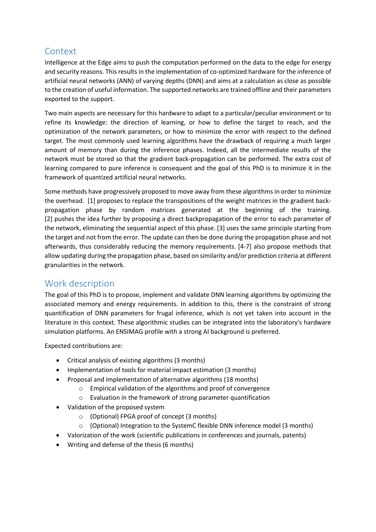## Context

Intelligence at the Edge aims to push the computation performed on the data to the edge for energy and security reasons. This results in the implementation of co-optimized hardware for the inference of artificial neural networks (ANN) of varying depths (DNN) and aims at a calculation as close as possible to the creation of useful information. The supported networks are trained offline and their parameters exported to the support.

Two main aspects are necessary for this hardware to adapt to a particular/peculiar environment or to refine its knowledge: the direction of learning, or how to define the target to reach, and the optimization of the network parameters, or how to minimize the error with respect to the defined target. The most commonly used learning algorithms have the drawback of requiring a much larger amount of memory than during the inference phases. Indeed, all the intermediate results of the network must be stored so that the gradient back-propagation can be performed. The extra cost of learning compared to pure inference is consequent and the goal of this PhD is to minimize it in the framework of quantized artificial neural networks.

Some methods have progressively proposed to move away from these algorithms in order to minimize the overhead. [1] proposes to replace the transpositions of the weight matrices in the gradient backpropagation phase by random matrices generated at the beginning of the training. [2] pushes the idea further by proposing a direct backpropagation of the error to each parameter of the network, eliminating the sequential aspect of this phase. [3] uses the same principle starting from the target and not from the error. The update can then be done during the propagation phase and not afterwards, thus considerably reducing the memory requirements. [4-7] also propose methods that allow updating during the propagation phase, based on similarity and/or prediction criteria at different granularities in the network.

## Work description

The goal of this PhD is to propose, implement and validate DNN learning algorithms by optimizing the associated memory and energy requirements. In addition to this, there is the constraint of strong quantification of DNN parameters for frugal inference, which is not yet taken into account in the literature in this context. These algorithmic studies can be integrated into the laboratory's hardware simulation platforms. An ENSIMAG profile with a strong AI background is preferred.

Expected contributions are:

- Critical analysis of existing algorithms (3 months)
- Implementation of tools for material impact estimation (3 months)
- Proposal and implementation of alternative algorithms (18 months)
	- o Empirical validation of the algorithms and proof of convergence
	- o Evaluation in the framework of strong parameter quantification
- Validation of the proposed system
	- o (Optional) FPGA proof of concept (3 months)
	- o (Optional) Integration to the SystemC flexible DNN inference model (3 months)
- Valorization of the work (scientific publications in conferences and journals, patents)
- Writing and defense of the thesis (6 months)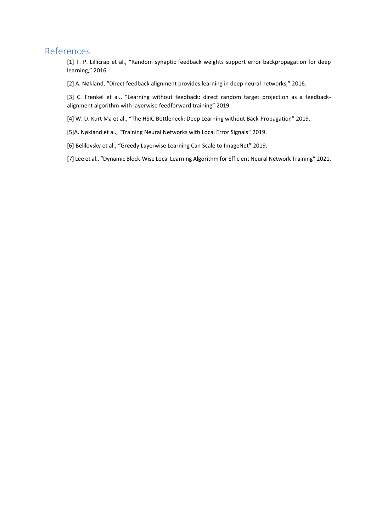### References

[1] T. P. Lillicrap et al., "Random synaptic feedback weights support error backpropagation for deep learning," 2016.

[2] A. Nøkland, "Direct feedback alignment provides learning in deep neural networks," 2016.

[3] C. Frenkel et al., "Learning without feedback: direct random target projection as a feedbackalignment algorithm with layerwise feedforward training" 2019.

[4] W. D. Kurt Ma et al., "The HSIC Bottleneck: Deep Learning without Back-Propagation" 2019.

[5]A. Nøkland et al., "Training Neural Networks with Local Error Signals" 2019.

[6] Belilovsky et al., "Greedy Layerwise Learning Can Scale to ImageNet" 2019.

[7] Lee et al., "Dynamic Block-Wise Local Learning Algorithm for Efficient Neural Network Training" 2021.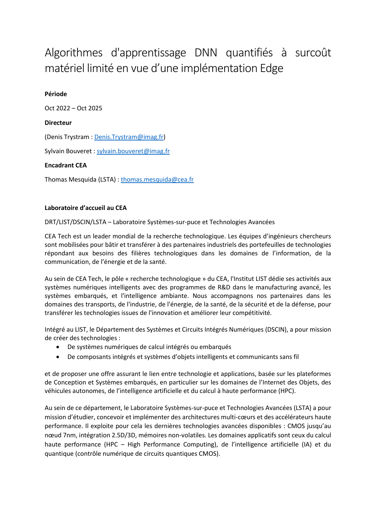## Algorithmes d'apprentissage DNN quantifiés à surcoût matériel limité en vue d'une implémentation Edge

#### **Période**

Oct 2022 – Oct 2025

#### **Directeur**

(Denis Trystram [: Denis.Trystram@imag.fr\)](mailto:Denis.Trystram@imag.fr)

Sylvain Bouveret : [sylvain.bouveret@imag.fr](mailto:sylvain.bouveret@imag.fr)

#### **Encadrant CEA**

Thomas Mesquida (LSTA) : [thomas.mesquida@cea.fr](mailto:thomas.mesquida@cea.fr)

#### **Laboratoire d'accueil au CEA**

DRT/LIST/DSCIN/LSTA – Laboratoire Systèmes-sur-puce et Technologies Avancées

CEA Tech est un leader mondial de la recherche technologique. Les équipes d'ingénieurs chercheurs sont mobilisées pour bâtir et transférer à des partenaires industriels des portefeuilles de technologies répondant aux besoins des filières technologiques dans les domaines de l'information, de la communication, de l'énergie et de la santé.

Au sein de CEA Tech, le pôle « recherche technologique » du CEA, l'Institut LIST dédie ses activités aux systèmes numériques intelligents avec des programmes de R&D dans le manufacturing avancé, les systèmes embarqués, et l'intelligence ambiante. Nous accompagnons nos partenaires dans les domaines des transports, de l'industrie, de l'énergie, de la santé, de la sécurité et de la défense, pour transférer les technologies issues de l'innovation et améliorer leur compétitivité.

Intégré au LIST, le Département des Systèmes et Circuits Intégrés Numériques (DSCIN), a pour mission de créer des technologies :

- De systèmes numériques de calcul intégrés ou embarqués
- De composants intégrés et systèmes d'objets intelligents et communicants sans fil

et de proposer une offre assurant le lien entre technologie et applications, basée sur les plateformes de Conception et Systèmes embarqués, en particulier sur les domaines de l'Internet des Objets, des véhicules autonomes, de l'intelligence artificielle et du calcul à haute performance (HPC).

Au sein de ce département, le Laboratoire Systèmes-sur-puce et Technologies Avancées (LSTA) a pour mission d'étudier, concevoir et implémenter des architectures multi-cœurs et des accélérateurs haute performance. Il exploite pour cela les dernières technologies avancées disponibles : CMOS jusqu'au nœud 7nm, intégration 2.5D/3D, mémoires non-volatiles. Les domaines applicatifs sont ceux du calcul haute performance (HPC – High Performance Computing), de l'intelligence artificielle (IA) et du quantique (contrôle numérique de circuits quantiques CMOS).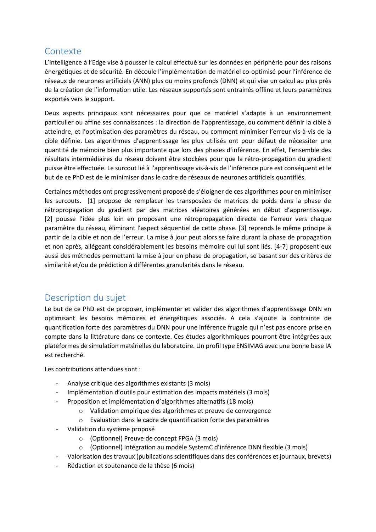## Contexte

L'intelligence à l'Edge vise à pousser le calcul effectué sur les données en périphérie pour des raisons énergétiques et de sécurité. En découle l'implémentation de matériel co-optimisé pour l'inférence de réseaux de neurones artificiels (ANN) plus ou moins profonds (DNN) et qui vise un calcul au plus près de la création de l'information utile. Les réseaux supportés sont entrainés offline et leurs paramètres exportés vers le support.

Deux aspects principaux sont nécessaires pour que ce matériel s'adapte à un environnement particulier ou affine ses connaissances : la direction de l'apprentissage, ou comment définir la cible à atteindre, et l'optimisation des paramètres du réseau, ou comment minimiser l'erreur vis-à-vis de la cible définie. Les algorithmes d'apprentissage les plus utilisés ont pour défaut de nécessiter une quantité de mémoire bien plus importante que lors des phases d'inférence. En effet, l'ensemble des résultats intermédiaires du réseau doivent être stockées pour que la rétro-propagation du gradient puisse être effectuée. Le surcout lié à l'apprentissage vis-à-vis de l'inférence pure est conséquent et le but de ce PhD est de le minimiser dans le cadre de réseaux de neurones artificiels quantifiés.

Certaines méthodes ont progressivement proposé de s'éloigner de ces algorithmes pour en minimiser les surcouts. [1] propose de remplacer les transposées de matrices de poids dans la phase de rétropropagation du gradient par des matrices aléatoires générées en début d'apprentissage. [2] pousse l'idée plus loin en proposant une rétropropagation directe de l'erreur vers chaque paramètre du réseau, éliminant l'aspect séquentiel de cette phase. [3] reprends le même principe à partir de la cible et non de l'erreur. La mise à jour peut alors se faire durant la phase de propagation et non après, allégeant considérablement les besoins mémoire qui lui sont liés. [4-7] proposent eux aussi des méthodes permettant la mise à jour en phase de propagation, se basant sur des critères de similarité et/ou de prédiction à différentes granularités dans le réseau.

## Description du sujet

Le but de ce PhD est de proposer, implémenter et valider des algorithmes d'apprentissage DNN en optimisant les besoins mémoires et énergétiques associés. A cela s'ajoute la contrainte de quantification forte des paramètres du DNN pour une inférence frugale qui n'est pas encore prise en compte dans la littérature dans ce contexte. Ces études algorithmiques pourront être intégrées aux plateformes de simulation matérielles du laboratoire. Un profil type ENSIMAG avec une bonne base IA est recherché.

Les contributions attendues sont :

- Analyse critique des algorithmes existants (3 mois)
- Implémentation d'outils pour estimation des impacts matériels (3 mois)
- Proposition et implémentation d'algorithmes alternatifs (18 mois)
	- o Validation empirique des algorithmes et preuve de convergence
	- o Evaluation dans le cadre de quantification forte des paramètres
- Validation du système proposé
	- o (Optionnel) Preuve de concept FPGA (3 mois)
	- o (Optionnel) Intégration au modèle SystemC d'inférence DNN flexible (3 mois)
- Valorisation des travaux (publications scientifiques dans des conférences et journaux, brevets)
- Rédaction et soutenance de la thèse (6 mois)